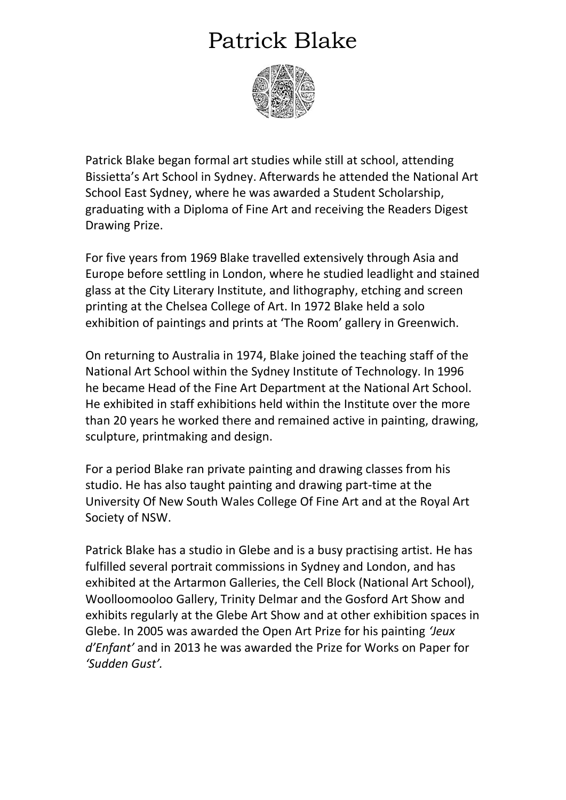## Patrick Blake



Patrick Blake began formal art studies while still at school, attending Bissietta's Art School in Sydney. Afterwards he attended the National Art School East Sydney, where he was awarded a Student Scholarship, graduating with a Diploma of Fine Art and receiving the Readers Digest Drawing Prize.

For five years from 1969 Blake travelled extensively through Asia and Europe before settling in London, where he studied leadlight and stained glass at the City Literary Institute, and lithography, etching and screen printing at the Chelsea College of Art. In 1972 Blake held a solo exhibition of paintings and prints at 'The Room' gallery in Greenwich.

On returning to Australia in 1974, Blake joined the teaching staff of the National Art School within the Sydney Institute of Technology. In 1996 he became Head of the Fine Art Department at the National Art School. He exhibited in staff exhibitions held within the Institute over the more than 20 years he worked there and remained active in painting, drawing, sculpture, printmaking and design.

For a period Blake ran private painting and drawing classes from his studio. He has also taught painting and drawing part-time at the University Of New South Wales College Of Fine Art and at the Royal Art Society of NSW.

Patrick Blake has a studio in Glebe and is a busy practising artist. He has fulfilled several portrait commissions in Sydney and London, and has exhibited at the Artarmon Galleries, the Cell Block (National Art School), Woolloomooloo Gallery, Trinity Delmar and the Gosford Art Show and exhibits regularly at the Glebe Art Show and at other exhibition spaces in Glebe. In 2005 was awarded the Open Art Prize for his painting *'Jeux d'Enfant'* and in 2013 he was awarded the Prize for Works on Paper for *'Sudden Gust'.*